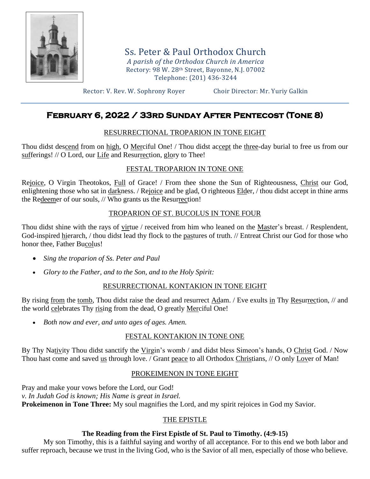

Ss. Peter & Paul Orthodox Church *A parish of the Orthodox Church in America* Rectory: 98 W. 28th Street, Bayonne, N.J. 07002 Telephone: (201) 436-3244

Rector: V. Rev. W. Sophrony Royer Choir Director: Mr. Yuriy Galkin

# **February 6, 2022 / 33rd Sunday After Pentecost (Tone 8)**

# RESURRECTIONAL TROPARION IN TONE EIGHT

Thou didst descend from on high, O Merciful One! / Thou didst accept the three-day burial to free us from our sufferings! // O Lord, our Life and Resurrection, glory to Thee!

# FESTAL TROPARION IN TONE ONE

Rejoice, O Virgin Theotokos, Full of Grace! / From thee shone the Sun of Righteousness, Christ our God, enlightening those who sat in darkness. / Rejoice and be glad, O righteous Elder, / thou didst accept in thine arms the Redeemer of our souls, // Who grants us the Resurrection!

# TROPARION OF ST. BUCOLUS IN TONE FOUR

Thou didst shine with the rays of virtue / received from him who leaned on the Master's breast. / Resplendent, God-inspired hierarch, / thou didst lead thy flock to the pastures of truth. // Entreat Christ our God for those who honor thee, Father Bucolus!

- *Sing the troparion of Ss. Peter and Paul*
- *Glory to the Father, and to the Son, and to the Holy Spirit:*

# RESURRECTIONAL KONTAKION IN TONE EIGHT

By rising from the tomb, Thou didst raise the dead and resurrect Adam. / Eve exults in Thy Resurrection, // and the world celebrates Thy rising from the dead, O greatly Merciful One!

• *Both now and ever, and unto ages of ages. Amen.*

# FESTAL KONTAKION IN TONE ONE

By Thy Nativity Thou didst sanctify the Virgin's womb / and didst bless Simeon's hands, O Christ God. / Now Thou hast come and saved us through love. / Grant peace to all Orthodox Christians, // O only Lover of Man!

# PROKEIMENON IN TONE EIGHT

Pray and make your vows before the Lord, our God! *v. In Judah God is known; His Name is great in Israel.* **Prokeimenon in Tone Three:** My soul magnifies the Lord, and my spirit rejoices in God my Savior.

# THE EPISTLE

# **The Reading from the First Epistle of St. Paul to Timothy. (4:9-15)**

My son Timothy, this is a faithful saying and worthy of all acceptance. For to this end we both labor and suffer reproach, because we trust in the living God, who is the Savior of all men, especially of those who believe.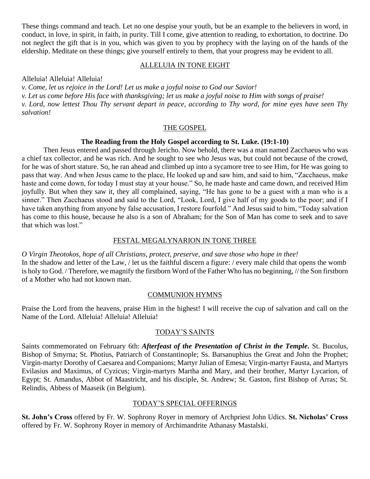These things command and teach. Let no one despise your youth, but be an example to the believers in word, in conduct, in love, in spirit, in faith, in purity. Till I come, give attention to reading, to exhortation, to doctrine. Do not neglect the gift that is in you, which was given to you by prophecy with the laying on of the hands of the eldership. Meditate on these things; give yourself entirely to them, that your progress may be evident to all.

#### ALLELUIA IN TONE EIGHT

Alleluia! Alleluia! Alleluia!

*v. Come, let us rejoice in the Lord! Let us make a joyful noise to God our Savior!*

*v. Let us come before His face with thanksgiving; let us make a joyful noise to Him with songs of praise! v. Lord, now lettest Thou Thy servant depart in peace, according to Thy word, for mine eyes have seen Thy* 

*salvation!*

#### THE GOSPEL

# **The Reading from the Holy Gospel according to St. Luke. (19:1-10)**

Then Jesus entered and passed through Jericho. Now behold, there was a man named Zacchaeus who was a chief tax collector, and he was rich. And he sought to see who Jesus was, but could not because of the crowd, for he was of short stature. So, he ran ahead and climbed up into a sycamore tree to see Him, for He was going to pass that way. And when Jesus came to the place, He looked up and saw him, and said to him, "Zacchaeus, make haste and come down, for today I must stay at your house." So, he made haste and came down, and received Him joyfully. But when they saw it, they all complained, saying, "He has gone to be a guest with a man who is a sinner." Then Zacchaeus stood and said to the Lord, "Look, Lord, I give half of my goods to the poor; and if I have taken anything from anyone by false accusation, I restore fourfold." And Jesus said to him, "Today salvation has come to this house, because he also is a son of Abraham; for the Son of Man has come to seek and to save that which was lost."

#### FESTAL MEGALYNARION IN TONE THREE

*O Virgin Theotokos, hope of all Christians, protect, preserve, and save those who hope in thee!* In the shadow and letter of the Law, / let us the faithful discern a figure: / every male child that opens the womb is holy to God. / Therefore, we magnify the firstborn Word of the Father Who has no beginning, // the Son firstborn of a Mother who had not known man.

### COMMUNION HYMNS

Praise the Lord from the heavens, praise Him in the highest! I will receive the cup of salvation and call on the Name of the Lord. Alleluia! Alleluia! Alleluia!

### TODAY'S SAINTS

Saints commemorated on February 6th: *Afterfeast of the Presentation of Christ in the Temple***.** St. Bucolus, Bishop of Smyrna; St. Photius, Patriarch of Constantinople; Ss. Barsanuphius the Great and John the Prophet; Virgin-martyr Dorothy of Caesarea and Companions; Martyr Julian of Emesa; Virgin-martyr Fausta, and Martyrs Evilasius and Maximus, of Cyzicus; Virgin-martyrs Martha and Mary, and their brother, Martyr Lycarion, of Egypt; St. Amandus, Abbot of Maastricht, and his disciple, St. Andrew; St. Gaston, first Bishop of Arras; St. Relindis, Abbess of Maaseik (in Belgium).

### TODAY'S SPECIAL OFFERINGS

**St. John's Cross** offered by Fr. W. Sophrony Royer in memory of Archpriest John Udics. **St. Nicholas' Cross** offered by Fr. W. Sophrony Royer in memory of Archimandrite Athanasy Mastalski.